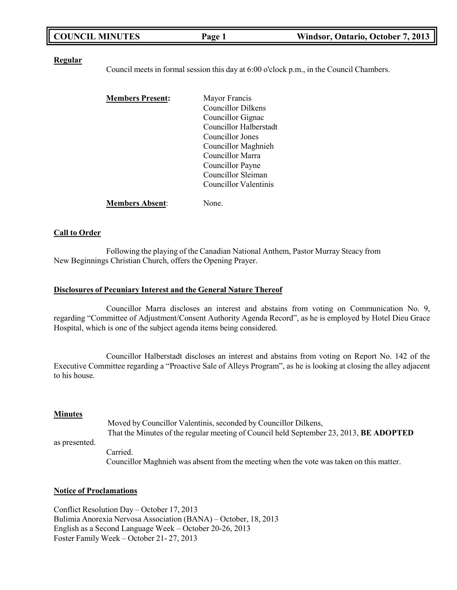| <b>COUNCIL MINUTES</b> | Page 1 | Windsor, Ontario, October 7, 2013 |
|------------------------|--------|-----------------------------------|
|                        |        |                                   |

#### **Regular**

Council meets in formal session this day at 6:00 o'clock p.m., in the Council Chambers.

| <b>Members Present:</b> | Mayor Francis          |
|-------------------------|------------------------|
|                         | Councillor Dilkens     |
|                         | Councillor Gignac      |
|                         | Councillor Halberstadt |
|                         | Councillor Jones       |
|                         | Councillor Maghnieh    |
|                         | Councillor Marra       |
|                         | Councillor Payne       |
|                         | Councillor Sleiman     |
|                         | Councillor Valentinis  |
| <b>Members Absent:</b>  | Jone.                  |

#### **Call to Order**

Following the playing of the Canadian National Anthem, Pastor Murray Steacy from New Beginnings Christian Church, offers the Opening Prayer.

#### **Disclosures of Pecuniary Interest and the General Nature Thereof**

Councillor Marra discloses an interest and abstains from voting on Communication No. 9, regarding "Committee of Adjustment/Consent Authority Agenda Record", as he is employed by Hotel Dieu Grace Hospital, which is one of the subject agenda items being considered.

Councillor Halberstadt discloses an interest and abstains from voting on Report No. 142 of the Executive Committee regarding a "Proactive Sale of Alleys Program", as he is looking at closing the alley adjacent to his house.

#### **Minutes**

as presented. Moved by Councillor Valentinis, seconded by Councillor Dilkens, That the Minutes of the regular meeting of Council held September 23, 2013, **BE ADOPTED** Carried.

Councillor Maghnieh was absent from the meeting when the vote was taken on this matter.

#### **Notice of Proclamations**

Conflict Resolution Day – October 17, 2013 Bulimia Anorexia Nervosa Association (BANA) – October, 18, 2013 English as a Second Language Week – October 20-26, 2013 Foster Family Week – October 21- 27, 2013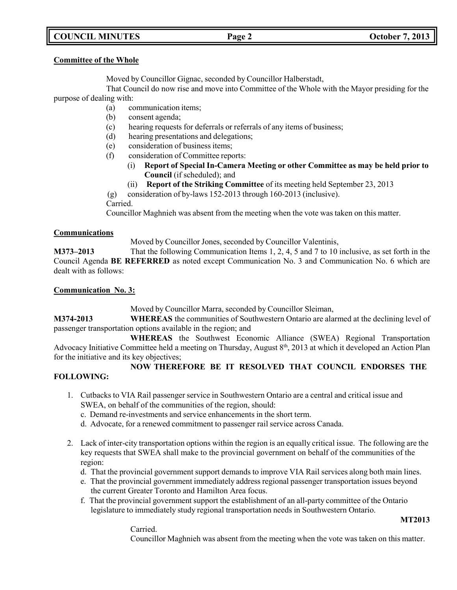# **COUNCIL MINUTES Page 2 October 7, 2013**

### **Committee of the Whole**

Moved by Councillor Gignac, seconded by Councillor Halberstadt,

That Council do now rise and move into Committee of the Whole with the Mayor presiding for the purpose of dealing with:

- (a) communication items;
- (b) consent agenda;
- (c) hearing requests for deferrals or referrals of any items of business;
- (d) hearing presentations and delegations;
- (e) consideration of business items;
- (f) consideration of Committee reports:
	- (i) **Report of Special In-Camera Meeting or other Committee as may be held prior to Council** (if scheduled); and
	- (ii) **Report of the Striking Committee** of its meeting held September 23, 2013

(g) consideration of by-laws 152-2013 through 160-2013 (inclusive).

Carried.

Councillor Maghnieh was absent from the meeting when the vote was taken on this matter.

## **Communications**

Moved by Councillor Jones, seconded by Councillor Valentinis,

**M373–2013** That the following Communication Items 1, 2, 4, 5 and 7 to 10 inclusive, as set forth in the Council Agenda **BE REFERRED** as noted except Communication No. 3 and Communication No. 6 which are dealt with as follows:

## **Communication No. 3:**

Moved by Councillor Marra, seconded by Councillor Sleiman,

**M374-2013 WHEREAS** the communities of Southwestern Ontario are alarmed at the declining level of passenger transportation options available in the region; and

**WHEREAS** the Southwest Economic Alliance (SWEA) Regional Transportation Advocacy Initiative Committee held a meeting on Thursday, August 8th, 2013 at which it developed an Action Plan for the initiative and its key objectives;

## **NOW THEREFORE BE IT RESOLVED THAT COUNCIL ENDORSES THE FOLLOWING:**

- 1. Cutbacks to VIA Rail passenger service in Southwestern Ontario are a central and critical issue and SWEA, on behalf of the communities of the region, should:
	- c. Demand re-investments and service enhancements in the short term.
	- d. Advocate, for a renewed commitment to passenger rail service across Canada.
- 2. Lack of inter-city transportation options within the region is an equally critical issue. The following are the key requests that SWEA shall make to the provincial government on behalf of the communities of the region:
	- d. That the provincial government support demands to improve VIA Rail services along both main lines.
	- e. That the provincial government immediately address regional passenger transportation issues beyond the current Greater Toronto and Hamilton Area focus.
	- f. That the provincial government support the establishment of an all-party committee of the Ontario legislature to immediately study regional transportation needs in Southwestern Ontario.

Carried.

**MT2013**

Councillor Maghnieh was absent from the meeting when the vote was taken on this matter.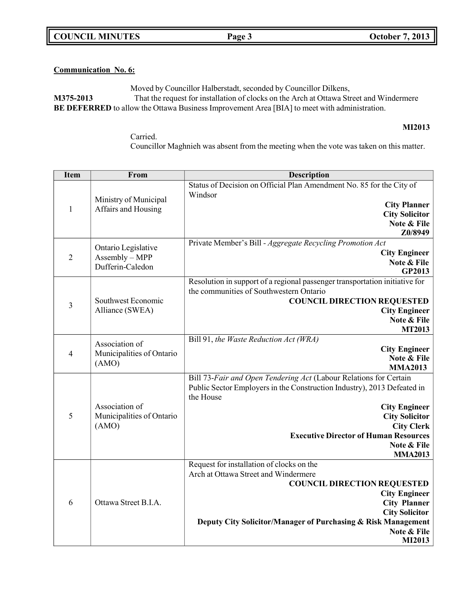**COUNCIL MINUTES Page 3 October 7, 2013**

## **Communication No. 6:**

Moved by Councillor Halberstadt, seconded by Councillor Dilkens, **M375-2013** That the request for installation of clocks on the Arch at Ottawa Street and Windermere **BE DEFERRED** to allow the Ottawa Business Improvement Area [BIA] to meet with administration.

#### **MI2013**

Carried. Councillor Maghnieh was absent from the meeting when the vote was taken on this matter.

| <b>Item</b>    | From                                                      | <b>Description</b>                                                                                                                                                                                                                                                                                               |
|----------------|-----------------------------------------------------------|------------------------------------------------------------------------------------------------------------------------------------------------------------------------------------------------------------------------------------------------------------------------------------------------------------------|
| $\mathbf{1}$   | Ministry of Municipal<br>Affairs and Housing              | Status of Decision on Official Plan Amendment No. 85 for the City of<br>Windsor<br><b>City Planner</b><br><b>City Solicitor</b><br>Note & File<br>Z0/8949                                                                                                                                                        |
| $\overline{2}$ | Ontario Legislative<br>Assembly - MPP<br>Dufferin-Caledon | Private Member's Bill - Aggregate Recycling Promotion Act<br><b>City Engineer</b><br>Note & File<br>GP2013                                                                                                                                                                                                       |
| $\mathfrak{Z}$ | Southwest Economic<br>Alliance (SWEA)                     | Resolution in support of a regional passenger transportation initiative for<br>the communities of Southwestern Ontario<br><b>COUNCIL DIRECTION REQUESTED</b><br><b>City Engineer</b><br>Note & File<br><b>MT2013</b>                                                                                             |
| $\overline{4}$ | Association of<br>Municipalities of Ontario<br>(AMO)      | Bill 91, the Waste Reduction Act (WRA)<br><b>City Engineer</b><br>Note & File<br><b>MMA2013</b>                                                                                                                                                                                                                  |
| 5              | Association of<br>Municipalities of Ontario<br>(AMO)      | Bill 73-Fair and Open Tendering Act (Labour Relations for Certain<br>Public Sector Employers in the Construction Industry), 2013 Defeated in<br>the House<br><b>City Engineer</b><br><b>City Solicitor</b><br><b>City Clerk</b><br><b>Executive Director of Human Resources</b><br>Note & File<br><b>MMA2013</b> |
| 6              | Ottawa Street B.I.A.                                      | Request for installation of clocks on the<br>Arch at Ottawa Street and Windermere<br><b>COUNCIL DIRECTION REQUESTED</b><br><b>City Engineer</b><br><b>City Planner</b><br><b>City Solicitor</b><br>Deputy City Solicitor/Manager of Purchasing & Risk Management<br>Note & File<br>MI2013                        |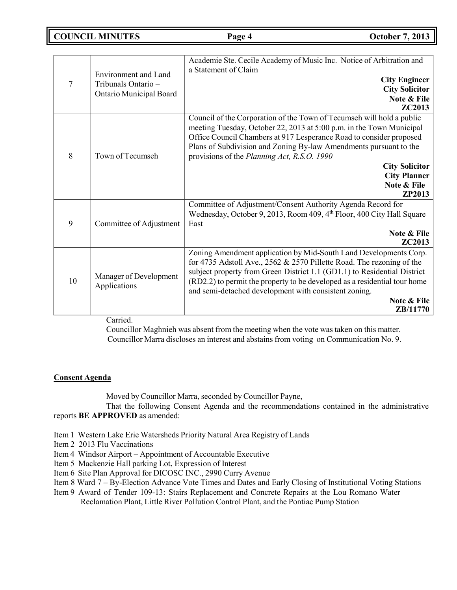## **COUNCIL MINUTES Page 4 October 7, 2013**

|    |                                        | Academie Ste. Cecile Academy of Music Inc. Notice of Arbitration and<br>a Statement of Claim |
|----|----------------------------------------|----------------------------------------------------------------------------------------------|
| 7  | <b>Environment</b> and Land            | <b>City Engineer</b>                                                                         |
|    | Tribunals Ontario -                    | <b>City Solicitor</b>                                                                        |
|    | Ontario Municipal Board                | Note & File                                                                                  |
|    |                                        | ZC2013                                                                                       |
|    |                                        | Council of the Corporation of the Town of Tecumseh will hold a public                        |
|    |                                        | meeting Tuesday, October 22, 2013 at 5:00 p.m. in the Town Municipal                         |
|    |                                        | Office Council Chambers at 917 Lesperance Road to consider proposed                          |
|    |                                        | Plans of Subdivision and Zoning By-law Amendments pursuant to the                            |
| 8  | Town of Tecumseh                       | provisions of the Planning Act, R.S.O. 1990                                                  |
|    |                                        | <b>City Solicitor</b>                                                                        |
|    |                                        | <b>City Planner</b>                                                                          |
|    |                                        | Note & File                                                                                  |
|    |                                        | <b>ZP2013</b>                                                                                |
|    |                                        | Committee of Adjustment/Consent Authority Agenda Record for                                  |
|    |                                        | Wednesday, October 9, 2013, Room 409, 4th Floor, 400 City Hall Square                        |
| 9  | Committee of Adjustment                | East                                                                                         |
|    |                                        | Note & File<br>ZC2013                                                                        |
| 10 | Manager of Development<br>Applications | Zoning Amendment application by Mid-South Land Developments Corp.                            |
|    |                                        | for 4735 Adstoll Ave., 2562 & 2570 Pillette Road. The rezoning of the                        |
|    |                                        | subject property from Green District 1.1 (GD1.1) to Residential District                     |
|    |                                        | (RD2.2) to permit the property to be developed as a residential tour home                    |
|    |                                        | and semi-detached development with consistent zoning.                                        |
|    |                                        | Note & File                                                                                  |
|    |                                        | <b>ZB</b> /11770                                                                             |

Carried.

Councillor Maghnieh was absent from the meeting when the vote was taken on this matter. Councillor Marra discloses an interest and abstains from voting on Communication No. 9.

## **Consent Agenda**

Moved by Councillor Marra, seconded by Councillor Payne,

That the following Consent Agenda and the recommendations contained in the administrative reports **BE APPROVED** as amended:

- Item 1 Western Lake Erie Watersheds Priority Natural Area Registry of Lands
- Item 2 2013 Flu Vaccinations
- Item 4 Windsor Airport Appointment of Accountable Executive
- Item 5 Mackenzie Hall parking Lot, Expression of Interest
- Item 6 Site Plan Approval for DICOSC INC., 2990 Curry Avenue
- Item 8 Ward 7 By-Election Advance Vote Times and Dates and Early Closing of Institutional Voting Stations
- Item 9 Award of Tender 109-13: Stairs Replacement and Concrete Repairs at the Lou Romano Water Reclamation Plant, Little River Pollution Control Plant, and the Pontiac Pump Station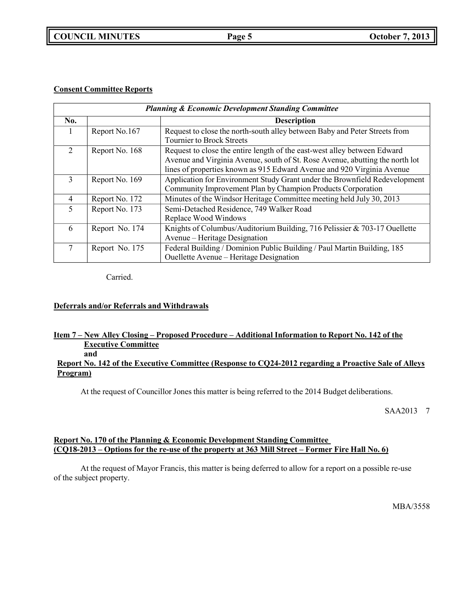**COUNCIL MINUTES Page 5 October 7, 2013**

### **Consent Committee Reports**

| <b>Planning &amp; Economic Development Standing Committee</b> |                |                                                                                                                                                                                                                                    |
|---------------------------------------------------------------|----------------|------------------------------------------------------------------------------------------------------------------------------------------------------------------------------------------------------------------------------------|
| No.                                                           |                | <b>Description</b>                                                                                                                                                                                                                 |
|                                                               | Report No.167  | Request to close the north-south alley between Baby and Peter Streets from<br><b>Tournier to Brock Streets</b>                                                                                                                     |
| 2                                                             | Report No. 168 | Request to close the entire length of the east-west alley between Edward<br>Avenue and Virginia Avenue, south of St. Rose Avenue, abutting the north lot<br>lines of properties known as 915 Edward Avenue and 920 Virginia Avenue |
| 3                                                             | Report No. 169 | Application for Environment Study Grant under the Brownfield Redevelopment<br>Community Improvement Plan by Champion Products Corporation                                                                                          |
| $\overline{4}$                                                | Report No. 172 | Minutes of the Windsor Heritage Committee meeting held July 30, 2013                                                                                                                                                               |
| 5                                                             | Report No. 173 | Semi-Detached Residence, 749 Walker Road<br>Replace Wood Windows                                                                                                                                                                   |
| 6                                                             | Report No. 174 | Knights of Columbus/Auditorium Building, 716 Pelissier & 703-17 Ouellette<br>Avenue – Heritage Designation                                                                                                                         |
| 7                                                             | Report No. 175 | Federal Building / Dominion Public Building / Paul Martin Building, 185<br>Ouellette Avenue – Heritage Designation                                                                                                                 |

Carried.

## **Deferrals and/or Referrals and Withdrawals**

#### **Item 7 – New Alley Closing – Proposed Procedure – Additional Information to Report No. 142 of the Executive Committee and**

## **Report No. 142 of the Executive Committee (Response to CQ24-2012 regarding a Proactive Sale of Alleys Program)**

At the request of Councillor Jones this matter is being referred to the 2014 Budget deliberations.

SAA2013 7

### **Report No. 170 of the Planning & Economic Development Standing Committee** (CQ18-2013 – Options for the re-use of the property at 363 Mill Street – Former Fire Hall No. 6)

At the request of Mayor Francis, this matter is being deferred to allow for a report on a possible re-use of the subject property.

MBA/3558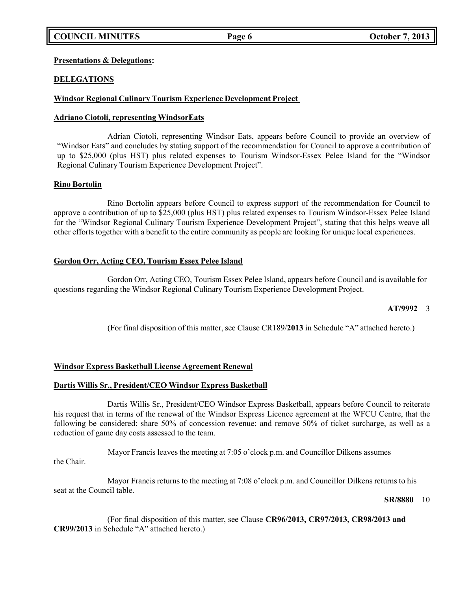### **Presentations & Delegations:**

## **DELEGATIONS**

## **Windsor Regional Culinary Tourism Experience Development Project**

## **Adriano Ciotoli, representing WindsorEats**

Adrian Ciotoli, representing Windsor Eats, appears before Council to provide an overview of "Windsor Eats" and concludes by stating support of the recommendation for Council to approve a contribution of up to \$25,000 (plus HST) plus related expenses to Tourism Windsor-Essex Pelee Island for the "Windsor Regional Culinary Tourism Experience Development Project".

### **Rino Bortolin**

Rino Bortolin appears before Council to express support of the recommendation for Council to approve a contribution of up to \$25,000 (plus HST) plus related expenses to Tourism Windsor-Essex Pelee Island for the "Windsor Regional Culinary Tourism Experience Development Project", stating that this helps weave all other efforts together with a benefit to the entire community as people are looking for unique local experiences.

## **Gordon Orr, Acting CEO, Tourism Essex Pelee Island**

Gordon Orr, Acting CEO, Tourism Essex Pelee Island, appears before Council and is available for questions regarding the Windsor Regional Culinary Tourism Experience Development Project.

### **AT/9992** 3

(For final disposition of this matter, see Clause CR189/**2013** in Schedule "A" attached hereto.)

## **Windsor Express Basketball License Agreement Renewal**

### **Dartis Willis Sr., President/CEO Windsor Express Basketball**

Dartis Willis Sr., President/CEO Windsor Express Basketball, appears before Council to reiterate his request that in terms of the renewal of the Windsor Express Licence agreement at the WFCU Centre, that the following be considered: share 50% of concession revenue; and remove 50% of ticket surcharge, as well as a reduction of game day costs assessed to the team.

Mayor Francis leaves the meeting at 7:05 o'clock p.m. and Councillor Dilkens assumes the Chair.

Mayor Francis returns to the meeting at 7:08 o'clock p.m. and Councillor Dilkens returns to his seat at the Council table.

### **SR/8880** 10

(For final disposition of this matter, see Clause **CR96/2013, CR97/2013, CR98/2013 and CR99/2013** in Schedule "A" attached hereto.)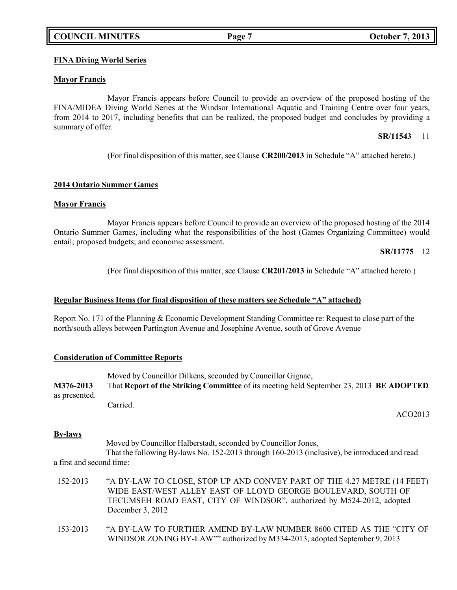## **COUNCIL MINUTES Page 7 October 7, 2013**

## **FINA Diving World Series**

### **Mayor Francis**

Mayor Francis appears before Council to provide an overview of the proposed hosting of the FINA/MIDEA Diving World Series at the Windsor International Aquatic and Training Centre over four years, from 2014 to 2017, including benefits that can be realized, the proposed budget and concludes by providing a summary of offer.

#### **SR/11543** 11

(For final disposition of this matter, see Clause **CR200/2013** in Schedule "A" attached hereto.)

#### **2014 Ontario Summer Games**

#### **Mayor Francis**

Mayor Francis appears before Council to provide an overview of the proposed hosting of the 2014 Ontario Summer Games, including what the responsibilities of the host (Games Organizing Committee) would entail; proposed budgets; and economic assessment.

**SR/11775** 12

(For final disposition of this matter, see Clause **CR201/2013** in Schedule "A" attached hereto.)

### **Regular Business Items (for final disposition of these matters see Schedule "A" attached)**

Report No. 171 of the Planning & Economic Development Standing Committee re: Request to close part of the north/south alleys between Partington Avenue and Josephine Avenue, south of Grove Avenue

### **Consideration of Committee Reports**

Moved by Councillor Dilkens, seconded by Councillor Gignac, **M376-2013** That **Report of the Striking Committee** of its meeting held September 23, 2013 **BE ADOPTED** as presented. Carried.

ACO2013

### **By-laws**

Moved by Councillor Halberstadt, seconded by Councillor Jones, That the following By-laws No. 152-2013 through 160-2013 (inclusive), be introduced and read a first and second time:

- 152-2013 "A BY-LAW TO CLOSE, STOP UP AND CONVEY PART OF THE 4.27 METRE (14 FEET) WIDE EAST/WEST ALLEY EAST OF LLOYD GEORGE BOULEVARD, SOUTH OF TECUMSEH ROAD EAST, CITY OF WINDSOR", authorized by M524-2012, adopted December 3, 2012
- 153-2013 "A BY-LAW TO FURTHER AMEND BY-LAW NUMBER 8600 CITED AS THE "CITY OF WINDSOR ZONING BY-LAW"" authorized by M334-2013, adopted September 9, 2013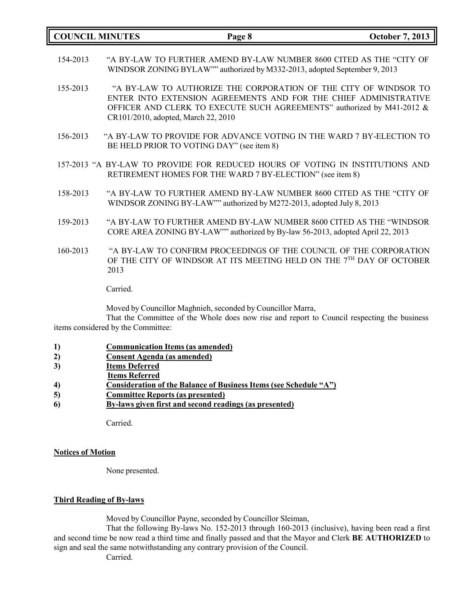|          | <b>COUNCIL MINUTES</b> | Page 8                                                                                                                                                                                                                                                | <b>October 7, 2013</b> |
|----------|------------------------|-------------------------------------------------------------------------------------------------------------------------------------------------------------------------------------------------------------------------------------------------------|------------------------|
| 154-2013 |                        | "A BY-LAW TO FURTHER AMEND BY-LAW NUMBER 8600 CITED AS THE "CITY OF<br>WINDSOR ZONING BYLAW"" authorized by M332-2013, adopted September 9, 2013                                                                                                      |                        |
| 155-2013 |                        | "A BY-LAW TO AUTHORIZE THE CORPORATION OF THE CITY OF WINDSOR TO<br>ENTER INTO EXTENSION AGREEMENTS AND FOR THE CHIEF ADMINISTRATIVE<br>OFFICER AND CLERK TO EXECUTE SUCH AGREEMENTS" authorized by M41-2012 &<br>CR101/2010, adopted, March 22, 2010 |                        |
| 156-2013 |                        | "A BY-LAW TO PROVIDE FOR ADVANCE VOTING IN THE WARD 7 BY-ELECTION TO<br>BE HELD PRIOR TO VOTING DAY" (see item 8)                                                                                                                                     |                        |
|          |                        | 157-2013 "A BY-LAW TO PROVIDE FOR REDUCED HOURS OF VOTING IN INSTITUTIONS AND<br>RETIREMENT HOMES FOR THE WARD 7 BY-ELECTION" (see item 8)                                                                                                            |                        |
| 158-2013 |                        | "A BY-LAW TO FURTHER AMEND BY-LAW NUMBER 8600 CITED AS THE "CITY OF<br>WINDSOR ZONING BY-LAW"" authorized by M272-2013, adopted July 8, 2013                                                                                                          |                        |
| 159-2013 |                        | "A BY-LAW TO FURTHER AMEND BY-LAW NUMBER 8600 CITED AS THE "WINDSOR<br>CORE AREA ZONING BY-LAW"" authorized by By-law 56-2013, adopted April 22, 2013                                                                                                 |                        |
| 160-2013 | 2013                   | "A BY-LAW TO CONFIRM PROCEEDINGS OF THE COUNCIL OF THE CORPORATION<br>OF THE CITY OF WINDSOR AT ITS MEETING HELD ON THE 7 <sup>TH</sup> DAY OF OCTOBER                                                                                                |                        |

Carried.

Moved by Councillor Maghnieh, seconded by Councillor Marra,

That the Committee of the Whole does now rise and report to Council respecting the business items considered by the Committee:

- **1) Communication Items (as amended)**
- **2) Consent Agenda (as amended)**
- **3) Items Deferred**
- **Items Referred**
- **4) Consideration of the Balance of Business Items (see Schedule "A")**
- **5) Committee Reports (as presented)**
- **6) By-laws given first and second readings (as presented)**

Carried.

#### **Notices of Motion**

None presented.

### **Third Reading of By-laws**

Moved by Councillor Payne, seconded by Councillor Sleiman,

That the following By-laws No. 152-2013 through 160-2013 (inclusive), having been read a first and second time be now read a third time and finally passed and that the Mayor and Clerk **BE AUTHORIZED** to sign and seal the same notwithstanding any contrary provision of the Council.

Carried.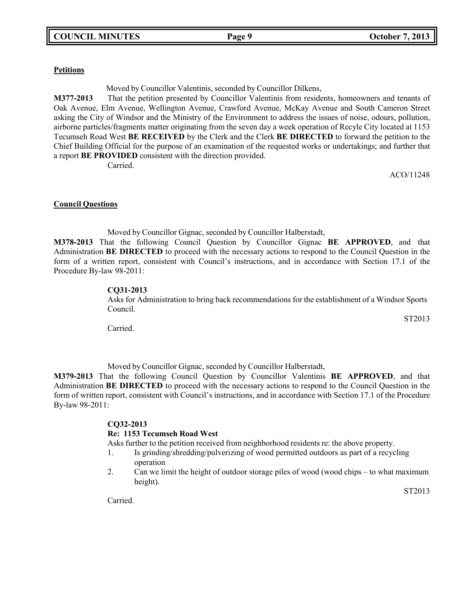### **Petitions**

Moved by Councillor Valentinis, seconded by Councillor Dilkens,

**M377-2013** That the petition presented by Councillor Valentinis from residents, homeowners and tenants of Oak Avenue, Elm Avenue, Wellington Avenue, Crawford Avenue, McKay Avenue and South Cameron Street asking the City of Windsor and the Ministry of the Environment to address the issues of noise, odours, pollution, airborne particles/fragments matter originating from the seven day a week operation of Recyle City located at 1153 Tecumseh Road West **BE RECEIVED** by the Clerk and the Clerk **BE DIRECTED** to forward the petition to the Chief Building Official for the purpose of an examination of the requested works or undertakings; and further that a report **BE PROVIDED** consistent with the direction provided.

Carried.

ACO/11248

### **Council Questions**

Moved by Councillor Gignac, seconded by Councillor Halberstadt, **M378-2013** That the following Council Question by Councillor Gignac **BE APPROVED**, and that Administration **BE DIRECTED** to proceed with the necessary actions to respond to the Council Question in the form of a written report, consistent with Council's instructions, and in accordance with Section 17.1 of the Procedure By-law 98-2011:

#### **CQ31-2013**

Asks for Administration to bring back recommendations for the establishment of a Windsor Sports Council.

Carried.

Moved by Councillor Gignac, seconded by Councillor Halberstadt,

**M379-2013** That the following Council Question by Councillor Valentinis **BE APPROVED**, and that Administration **BE DIRECTED** to proceed with the necessary actions to respond to the Council Question in the form of written report, consistent with Council's instructions, and in accordance with Section 17.1 of the Procedure By-law 98-2011:

### **CQ32-2013**

### **Re: 1153 Tecumseh Road West**

Asks further to the petition received from neighborhood residents re: the above property.

- 1. Is grinding/shredding/pulverizing of wood permitted outdoors as part of a recycling operation
- 2. Can we limit the height of outdoor storage piles of wood (wood chips to what maximum height).

ST2013

Carried.

ST2013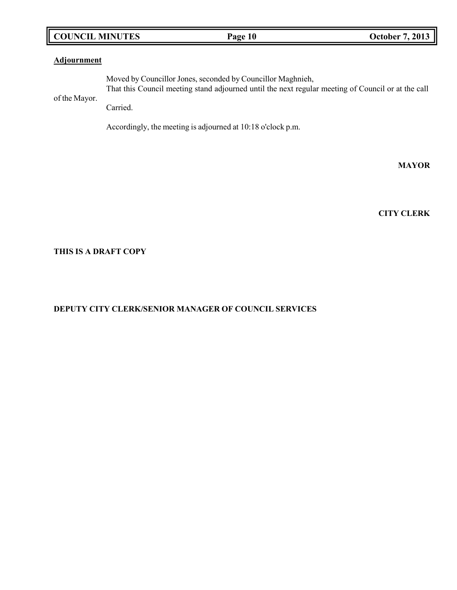## **COUNCIL MINUTES Page 10 October 7, 2013**

## **Adjournment**

of the Mayor. Moved by Councillor Jones, seconded by Councillor Maghnieh, That this Council meeting stand adjourned until the next regular meeting of Council or at the call Carried.

Accordingly, the meeting is adjourned at 10:18 o'clock p.m.

**MAYOR**

**CITY CLERK**

## **THIS IS A DRAFT COPY**

## **DEPUTY CITY CLERK/SENIOR MANAGER OF COUNCIL SERVICES**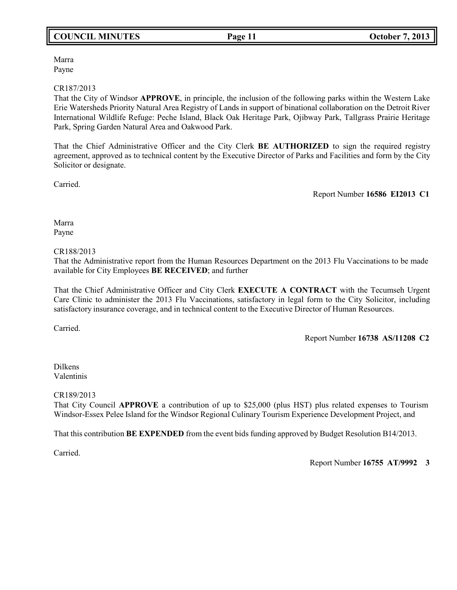# **COUNCIL MINUTES Page 11 October 7, 2013**

Marra Payne

#### CR187/2013

That the City of Windsor **APPROVE**, in principle, the inclusion of the following parks within the Western Lake Erie Watersheds Priority Natural Area Registry of Lands in support of binational collaboration on the Detroit River International Wildlife Refuge: Peche Island, Black Oak Heritage Park, Ojibway Park, Tallgrass Prairie Heritage Park, Spring Garden Natural Area and Oakwood Park.

That the Chief Administrative Officer and the City Clerk **BE AUTHORIZED** to sign the required registry agreement, approved as to technical content by the Executive Director of Parks and Facilities and form by the City Solicitor or designate.

Carried.

Report Number **16586 EI2013 C1**

Marra Payne

#### CR188/2013

That the Administrative report from the Human Resources Department on the 2013 Flu Vaccinations to be made available for City Employees **BE RECEIVED**; and further

That the Chief Administrative Officer and City Clerk **EXECUTE A CONTRACT** with the Tecumseh Urgent Care Clinic to administer the 2013 Flu Vaccinations, satisfactory in legal form to the City Solicitor, including satisfactory insurance coverage, and in technical content to the Executive Director of Human Resources.

Carried.

Report Number **16738 AS/11208 C2**

Dilkens Valentinis

CR189/2013

That City Council **APPROVE** a contribution of up to \$25,000 (plus HST) plus related expenses to Tourism Windsor-Essex Pelee Island for the Windsor Regional Culinary Tourism Experience Development Project, and

That this contribution **BE EXPENDED** from the event bids funding approved by Budget Resolution B14/2013.

Carried.

Report Number **16755 AT/9992 3**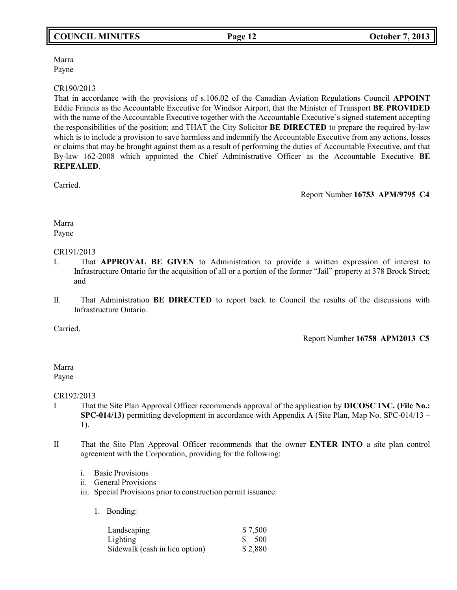## Marra Payne

## CR190/2013

That in accordance with the provisions of s.106.02 of the Canadian Aviation Regulations Council **APPOINT** Eddie Francis as the Accountable Executive for Windsor Airport, that the Minister of Transport **BE PROVIDED** with the name of the Accountable Executive together with the Accountable Executive's signed statement accepting the responsibilities of the position; and THAT the City Solicitor **BE DIRECTED** to prepare the required by-law which is to include a provision to save harmless and indemnify the Accountable Executive from any actions, losses or claims that may be brought against them as a result of performing the duties of Accountable Executive, and that By-law 162-2008 which appointed the Chief Administrative Officer as the Accountable Executive **BE REPEALED**.

Carried.

Report Number **16753 APM/9795 C4**

### Marra Payne

### CR191/2013

- I. That **APPROVAL BE GIVEN** to Administration to provide a written expression of interest to Infrastructure Ontario for the acquisition of all or a portion of the former "Jail" property at 378 Brock Street; and
- II. That Administration **BE DIRECTED** to report back to Council the results of the discussions with Infrastructure Ontario.

Carried.

Report Number **16758 APM2013 C5**

Marra Payne

CR192/2013

- I That the Site Plan Approval Officer recommends approval of the application by **DICOSC INC. (File No.: SPC-014/13)** permitting development in accordance with Appendix A (Site Plan, Map No. SPC-014/13 – 1).
- II That the Site Plan Approval Officer recommends that the owner **ENTER INTO** a site plan control agreement with the Corporation, providing for the following:
	- i. Basic Provisions
	- ii. General Provisions
	- iii. Special Provisions prior to construction permit issuance:
		- 1. Bonding:

| Landscaping                    | \$7,500          |
|--------------------------------|------------------|
| Lighting                       | $\frac{\$}{500}$ |
| Sidewalk (cash in lieu option) | \$2,880          |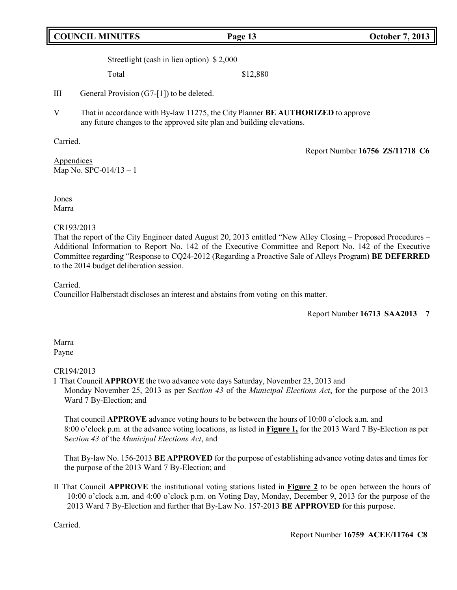# **COUNCIL MINUTES Page 13 October 7, 2013**

Streetlight (cash in lieu option) \$ 2,000

Total \$12,880

III General Provision (G7-[1]) to be deleted.

V That in accordance with By-law 11275, the City Planner **BE AUTHORIZED** to approve any future changes to the approved site plan and building elevations.

Carried.

Report Number **16756 ZS/11718 C6**

Appendices Map No. SPC-014/13 – 1

Jones Marra

### CR193/2013

That the report of the City Engineer dated August 20, 2013 entitled "New Alley Closing – Proposed Procedures – Additional Information to Report No. 142 of the Executive Committee and Report No. 142 of the Executive Committee regarding "Response to CQ24-2012 (Regarding a Proactive Sale of Alleys Program) **BE DEFERRED** to the 2014 budget deliberation session.

Carried.

Councillor Halberstadt discloses an interest and abstains from voting on this matter.

Report Number **16713 SAA2013 7**

#### Marra Payne

### CR194/2013

I That Council **APPROVE** the two advance vote days Saturday, November 23, 2013 and Monday November 25, 2013 as per S*ection 43* of the *Municipal Elections Act*, for the purpose of the 2013 Ward 7 By-Election; and

That council **APPROVE** advance voting hours to be between the hours of 10:00 o'clock a.m. and 8:00 o'clock p.m. at the advance voting locations, as listed in **Figure 1,** for the 2013 Ward 7 By-Election as per S*ection 43* of the *Municipal Elections Act*, and

That By-law No. 156-2013 **BE APPROVED** for the purpose of establishing advance voting dates and times for the purpose of the 2013 Ward 7 By-Election; and

II That Council **APPROVE** the institutional voting stations listed in **Figure 2** to be open between the hours of 10:00 o'clock a.m. and 4:00 o'clock p.m. on Voting Day, Monday, December 9, 2013 for the purpose of the 2013 Ward 7 By-Election and further that By-Law No. 157-2013 **BE APPROVED** for this purpose.

Carried.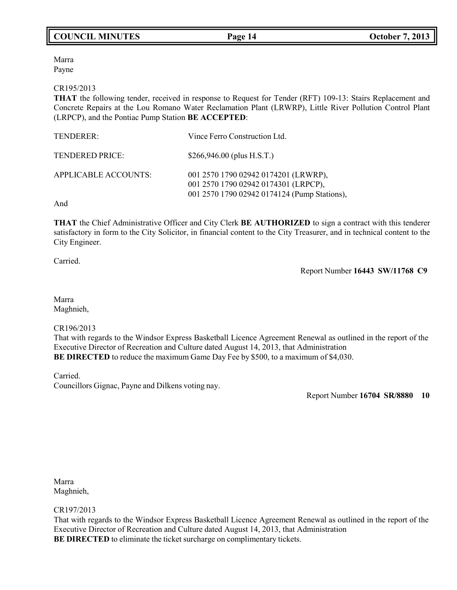# **COUNCIL MINUTES Page 14 October 7, 2013**

Marra Payne

#### CR195/2013

**THAT** the following tender, received in response to Request for Tender (RFT) 109-13: Stairs Replacement and Concrete Repairs at the Lou Romano Water Reclamation Plant (LRWRP), Little River Pollution Control Plant (LRPCP), and the Pontiac Pump Station **BE ACCEPTED**:

| TENDERER:            | Vince Ferro Construction Ltd.                                                                                                |
|----------------------|------------------------------------------------------------------------------------------------------------------------------|
| TENDERED PRICE:      | $$266,946.00$ (plus H.S.T.)                                                                                                  |
| APPLICABLE ACCOUNTS: | 001 2570 1790 02942 0174201 (LRWRP),<br>001 2570 1790 02942 0174301 (LRPCP),<br>001 2570 1790 02942 0174124 (Pump Stations), |

And

**THAT** the Chief Administrative Officer and City Clerk **BE AUTHORIZED** to sign a contract with this tenderer satisfactory in form to the City Solicitor, in financial content to the City Treasurer, and in technical content to the City Engineer.

Carried.

Report Number **16443 SW/11768 C9**

Marra Maghnieh,

### CR196/2013

That with regards to the Windsor Express Basketball Licence Agreement Renewal as outlined in the report of the Executive Director of Recreation and Culture dated August 14, 2013, that Administration **BE DIRECTED** to reduce the maximum Game Day Fee by \$500, to a maximum of \$4,030.

Carried.

Councillors Gignac, Payne and Dilkens voting nay.

Report Number **16704 SR/8880 10**

Marra Maghnieh,

### CR197/2013

That with regards to the Windsor Express Basketball Licence Agreement Renewal as outlined in the report of the Executive Director of Recreation and Culture dated August 14, 2013, that Administration **BE DIRECTED** to eliminate the ticket surcharge on complimentary tickets.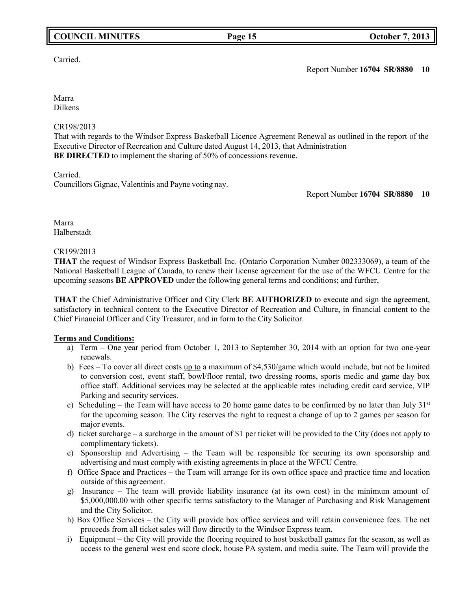# **COUNCIL MINUTES Page 15 October 7, 2013**

## Carried.

Report Number **16704 SR/8880 10**

Marra Dilkens

## CR198/2013

That with regards to the Windsor Express Basketball Licence Agreement Renewal as outlined in the report of the Executive Director of Recreation and Culture dated August 14, 2013, that Administration **BE DIRECTED** to implement the sharing of 50% of concessions revenue.

Carried.

Councillors Gignac, Valentinis and Payne voting nay.

Report Number **16704 SR/8880 10**

Marra Halberstadt

### CR199/2013

**THAT** the request of Windsor Express Basketball Inc. (Ontario Corporation Number 002333069), a team of the National Basketball League of Canada, to renew their license agreement for the use of the WFCU Centre for the upcoming seasons **BE APPROVED** under the following general terms and conditions; and further,

**THAT** the Chief Administrative Officer and City Clerk **BE AUTHORIZED** to execute and sign the agreement, satisfactory in technical content to the Executive Director of Recreation and Culture, in financial content to the Chief Financial Officer and City Treasurer, and in form to the City Solicitor.

### **Terms and Conditions:**

- a) Term One year period from October 1, 2013 to September 30, 2014 with an option for two one-year renewals.
- b) Fees To cover all direct costs up to a maximum of \$4,530/game which would include, but not be limited to conversion cost, event staff, bowl/floor rental, two dressing rooms, sports medic and game day box office staff. Additional services may be selected at the applicable rates including credit card service, VIP Parking and security services.
- c) Scheduling the Team will have access to 20 home game dates to be confirmed by no later than July  $31<sup>st</sup>$ for the upcoming season. The City reserves the right to request a change of up to 2 games per season for major events.
- d) ticket surcharge a surcharge in the amount of \$1 per ticket will be provided to the City (does not apply to complimentary tickets).
- e) Sponsorship and Advertising the Team will be responsible for securing its own sponsorship and advertising and must comply with existing agreements in place at the WFCU Centre.
- f) Office Space and Practices the Team will arrange for its own office space and practice time and location outside of this agreement.
- g) Insurance The team will provide liability insurance (at its own cost) in the minimum amount of \$5,000,000.00 with other specific terms satisfactory to the Manager of Purchasing and Risk Management and the City Solicitor.
- h) Box Office Services the City will provide box office services and will retain convenience fees. The net proceeds from all ticket sales will flow directly to the Windsor Express team.
- i) Equipment the City will provide the flooring required to host basketball games for the season, as well as access to the general west end score clock, house PA system, and media suite. The Team will provide the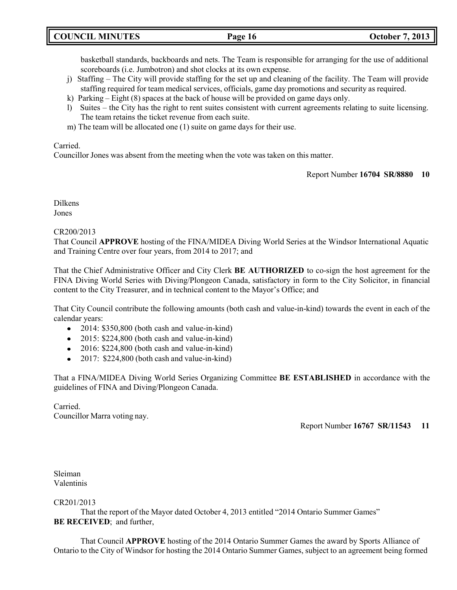basketball standards, backboards and nets. The Team is responsible for arranging for the use of additional scoreboards (i.e. Jumbotron) and shot clocks at its own expense.

- j) Staffing The City will provide staffing for the set up and cleaning of the facility. The Team will provide staffing required for team medical services, officials, game day promotions and security as required.
- k) Parking Eight (8) spaces at the back of house will be provided on game days only.
- l) Suites the City has the right to rent suites consistent with current agreements relating to suite licensing. The team retains the ticket revenue from each suite.
- m) The team will be allocated one (1) suite on game days for their use.

## Carried.

Councillor Jones was absent from the meeting when the vote was taken on this matter.

Report Number **16704 SR/8880 10**

Dilkens Jones

## CR200/2013

That Council **APPROVE** hosting of the FINA/MIDEA Diving World Series at the Windsor International Aquatic and Training Centre over four years, from 2014 to 2017; and

That the Chief Administrative Officer and City Clerk **BE AUTHORIZED** to co-sign the host agreement for the FINA Diving World Series with Diving/Plongeon Canada, satisfactory in form to the City Solicitor, in financial content to the City Treasurer, and in technical content to the Mayor's Office; and

That City Council contribute the following amounts (both cash and value-in-kind) towards the event in each of the calendar years:

- 2014: \$350,800 (both cash and value-in-kind)
- 2015: \$224,800 (both cash and value-in-kind)
- 2016: \$224,800 (both cash and value-in-kind)
- $\bullet$  2017: \$224,800 (both cash and value-in-kind)

That a FINA/MIDEA Diving World Series Organizing Committee **BE ESTABLISHED** in accordance with the guidelines of FINA and Diving/Plongeon Canada.

Carried. Councillor Marra voting nay.

Report Number **16767 SR/11543 11**

Sleiman Valentinis

CR201/2013

That the report of the Mayor dated October 4, 2013 entitled "2014 Ontario Summer Games" **BE RECEIVED**; and further,

That Council **APPROVE** hosting of the 2014 Ontario Summer Games the award by Sports Alliance of Ontario to the City of Windsor for hosting the 2014 Ontario Summer Games, subject to an agreement being formed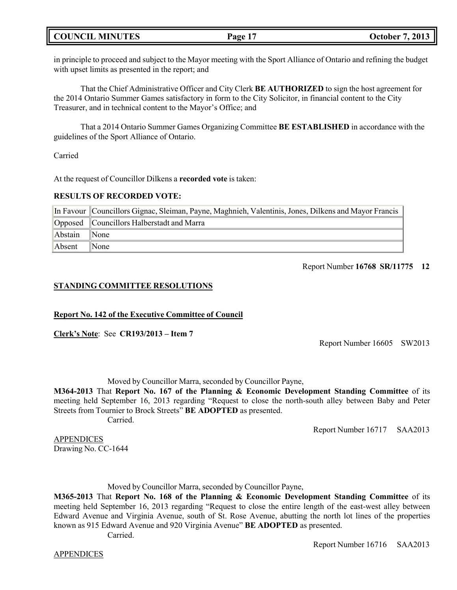## **COUNCIL MINUTES Page 17 October 7, 2013**

in principle to proceed and subject to the Mayor meeting with the Sport Alliance of Ontario and refining the budget with upset limits as presented in the report; and

That the Chief Administrative Officer and City Clerk **BE AUTHORIZED** to sign the host agreement for the 2014 Ontario Summer Games satisfactory in form to the City Solicitor, in financial content to the City Treasurer, and in technical content to the Mayor's Office; and

That a 2014 Ontario Summer Games Organizing Committee **BE ESTABLISHED** in accordance with the guidelines of the Sport Alliance of Ontario.

Carried

At the request of Councillor Dilkens a **recorded vote** is taken:

#### **RESULTS OF RECORDED VOTE:**

|         | In Favour   Councillors Gignac, Sleiman, Payne, Maghnieh, Valentinis, Jones, Dilkens and Mayor Francis |
|---------|--------------------------------------------------------------------------------------------------------|
|         | Opposed Councillors Halberstadt and Marra                                                              |
| Abstain | $\blacksquare$ None                                                                                    |
| Absent  | $\mathbb{N}$ one                                                                                       |

#### Report Number **16768 SR/11775 12**

### **STANDING COMMITTEE RESOLUTIONS**

### **Report No. 142 of the Executive Committee of Council**

**Clerk's Note**: See **CR193/2013 – Item 7**

Report Number 16605 SW2013

Moved by Councillor Marra, seconded by Councillor Payne,

**M364-2013** That **Report No. 167 of the Planning & Economic Development Standing Committee** of its meeting held September 16, 2013 regarding "Request to close the north-south alley between Baby and Peter Streets from Tournier to Brock Streets" **BE ADOPTED** as presented.

Carried.

Report Number 16717 SAA2013

APPENDICES Drawing No. CC-1644

Moved by Councillor Marra, seconded by Councillor Payne,

**M365-2013** That **Report No. 168 of the Planning & Economic Development Standing Committee** of its meeting held September 16, 2013 regarding "Request to close the entire length of the east-west alley between Edward Avenue and Virginia Avenue, south of St. Rose Avenue, abutting the north lot lines of the properties known as 915 Edward Avenue and 920 Virginia Avenue" **BE ADOPTED** as presented.

Carried.

APPENDICES

Report Number 16716 SAA2013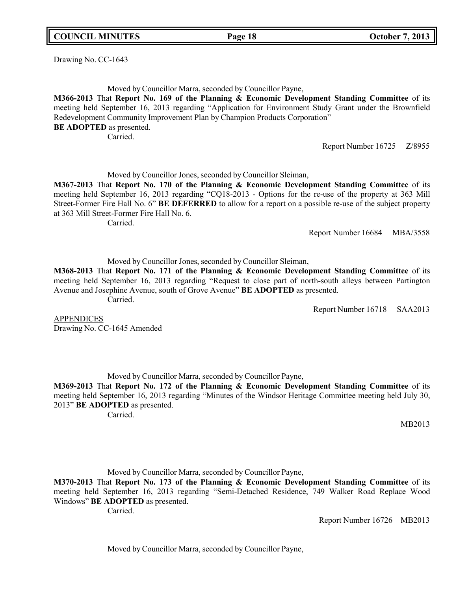**COUNCIL MINUTES Page 18 October 7, 2013**

Drawing No. CC-1643

Moved by Councillor Marra, seconded by Councillor Payne,

**M366-2013** That **Report No. 169 of the Planning & Economic Development Standing Committee** of its meeting held September 16, 2013 regarding "Application for Environment Study Grant under the Brownfield Redevelopment Community Improvement Plan by Champion Products Corporation" **BE ADOPTED** as presented.

Carried.

Report Number 16725 Z/8955

Moved by Councillor Jones, seconded by Councillor Sleiman,

**M367-2013** That **Report No. 170 of the Planning & Economic Development Standing Committee** of its meeting held September 16, 2013 regarding "CQ18-2013 - Options for the re-use of the property at 363 Mill Street-Former Fire Hall No. 6" **BE DEFERRED** to allow for a report on a possible re-use of the subject property at 363 Mill Street-Former Fire Hall No. 6.

Carried.

Report Number 16684 MBA/3558

Moved by Councillor Jones, seconded by Councillor Sleiman,

**M368-2013** That **Report No. 171 of the Planning & Economic Development Standing Committee** of its meeting held September 16, 2013 regarding "Request to close part of north-south alleys between Partington Avenue and Josephine Avenue, south of Grove Avenue" **BE ADOPTED** as presented. Carried.

Report Number 16718 SAA2013

**APPENDICES** Drawing No. CC-1645 Amended

Moved by Councillor Marra, seconded by Councillor Payne,

**M369-2013** That **Report No. 172 of the Planning & Economic Development Standing Committee** of its meeting held September 16, 2013 regarding "Minutes of the Windsor Heritage Committee meeting held July 30, 2013" **BE ADOPTED** as presented.

Carried.

MB2013

Moved by Councillor Marra, seconded by Councillor Payne,

**M370-2013** That **Report No. 173 of the Planning & Economic Development Standing Committee** of its meeting held September 16, 2013 regarding "Semi-Detached Residence, 749 Walker Road Replace Wood Windows" **BE ADOPTED** as presented.

Carried.

Report Number 16726 MB2013

Moved by Councillor Marra, seconded by Councillor Payne,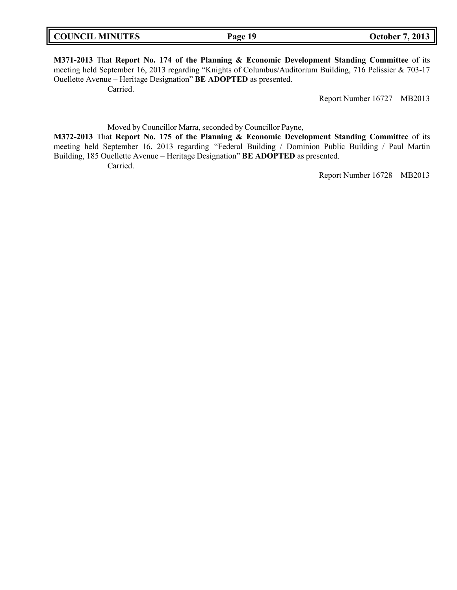**M371-2013** That **Report No. 174 of the Planning & Economic Development Standing Committee** of its meeting held September 16, 2013 regarding "Knights of Columbus/Auditorium Building, 716 Pelissier & 703-17 Ouellette Avenue – Heritage Designation" **BE ADOPTED** as presented. Carried.

Report Number 16727 MB2013

Moved by Councillor Marra, seconded by Councillor Payne,

**M372-2013** That **Report No. 175 of the Planning & Economic Development Standing Committee** of its meeting held September 16, 2013 regarding "Federal Building / Dominion Public Building / Paul Martin Building, 185 Ouellette Avenue – Heritage Designation" **BE ADOPTED** as presented. Carried.

Report Number 16728 MB2013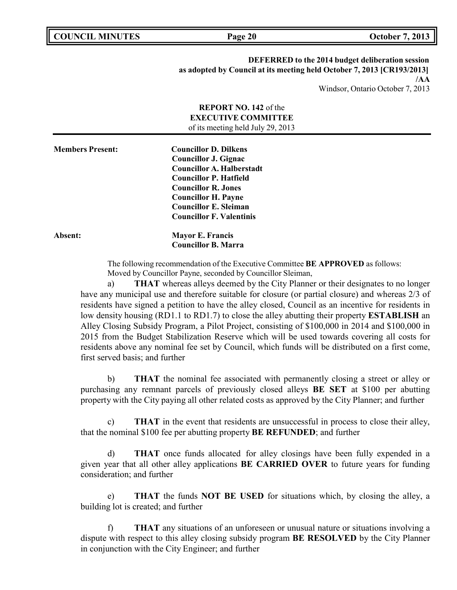**COUNCIL MINUTES Page 20 October 7, 2013**

**DEFERRED to the 2014 budget deliberation session as adopted by Council at its meeting held October 7, 2013 [CR193/2013] /AA** Windsor, Ontario October 7, 2013

| <b>REPORT NO. 142 of the</b><br><b>EXECUTIVE COMMITTEE</b><br>of its meeting held July 29, 2013 |                                                                                                                                                                                                                                                                 |  |
|-------------------------------------------------------------------------------------------------|-----------------------------------------------------------------------------------------------------------------------------------------------------------------------------------------------------------------------------------------------------------------|--|
| <b>Members Present:</b>                                                                         | <b>Councillor D. Dilkens</b><br><b>Councillor J. Gignac</b><br><b>Councillor A. Halberstadt</b><br><b>Councillor P. Hatfield</b><br><b>Councillor R. Jones</b><br><b>Councillor H. Payne</b><br><b>Councillor E. Sleiman</b><br><b>Councillor F. Valentinis</b> |  |
| Absent:                                                                                         | <b>Mayor E. Francis</b><br><b>Councillor B. Marra</b>                                                                                                                                                                                                           |  |

The following recommendation of the Executive Committee **BE APPROVED** as follows: Moved by Councillor Payne, seconded by Councillor Sleiman,

a) **THAT** whereas alleys deemed by the City Planner or their designates to no longer have any municipal use and therefore suitable for closure (or partial closure) and whereas 2/3 of residents have signed a petition to have the alley closed, Council as an incentive for residents in low density housing (RD1.1 to RD1.7) to close the alley abutting their property **ESTABLISH** an Alley Closing Subsidy Program, a Pilot Project, consisting of \$100,000 in 2014 and \$100,000 in 2015 from the Budget Stabilization Reserve which will be used towards covering all costs for residents above any nominal fee set by Council, which funds will be distributed on a first come, first served basis; and further

b) **THAT** the nominal fee associated with permanently closing a street or alley or purchasing any remnant parcels of previously closed alleys **BE SET** at \$100 per abutting property with the City paying all other related costs as approved by the City Planner; and further

c) **THAT** in the event that residents are unsuccessful in process to close their alley, that the nominal \$100 fee per abutting property **BE REFUNDED**; and further

d) **THAT** once funds allocated for alley closings have been fully expended in a given year that all other alley applications **BE CARRIED OVER** to future years for funding consideration; and further

e) **THAT** the funds **NOT BE USED** for situations which, by closing the alley, a building lot is created; and further

f) **THAT** any situations of an unforeseen or unusual nature or situations involving a dispute with respect to this alley closing subsidy program **BE RESOLVED** by the City Planner in conjunction with the City Engineer; and further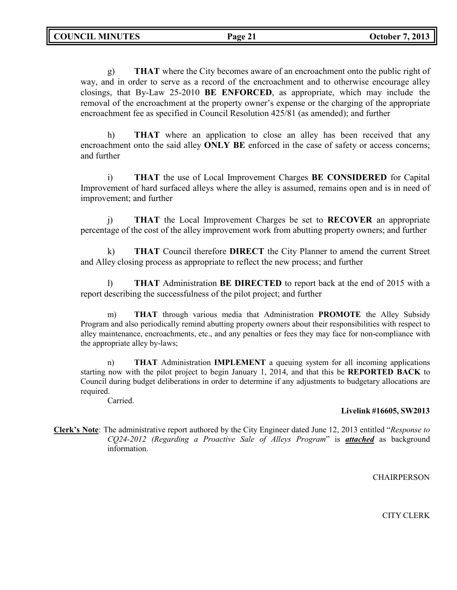g) **THAT** where the City becomes aware of an encroachment onto the public right of way, and in order to serve as a record of the encroachment and to otherwise encourage alley closings, that By-Law 25-2010 **BE ENFORCED**, as appropriate, which may include the removal of the encroachment at the property owner's expense or the charging of the appropriate encroachment fee as specified in Council Resolution 425/81 (as amended); and further

h) **THAT** where an application to close an alley has been received that any encroachment onto the said alley **ONLY BE** enforced in the case of safety or access concerns; and further

i) **THAT** the use of Local Improvement Charges **BE CONSIDERED** for Capital Improvement of hard surfaced alleys where the alley is assumed, remains open and is in need of improvement; and further

j) **THAT** the Local Improvement Charges be set to **RECOVER** an appropriate percentage of the cost of the alley improvement work from abutting property owners; and further

k) **THAT** Council therefore **DIRECT** the City Planner to amend the current Street and Alley closing process as appropriate to reflect the new process; and further

l) **THAT** Administration **BE DIRECTED** to report back at the end of 2015 with a report describing the successfulness of the pilot project; and further

m) **THAT** through various media that Administration **PROMOTE** the Alley Subsidy Program and also periodically remind abutting property owners about their responsibilities with respect to alley maintenance, encroachments, etc., and any penalties or fees they may face for non-compliance with the appropriate alley by-laws;

n) **THAT** Administration **IMPLEMENT** a queuing system for all incoming applications starting now with the pilot project to begin January 1, 2014, and that this be **REPORTED BACK** to Council during budget deliberations in order to determine if any adjustments to budgetary allocations are required.

Carried.

### **Livelink #16605, SW2013**

**Clerk's Note**: The administrative report authored by the City Engineer dated June 12, 2013 entitled "*Response to CQ24-2012 (Regarding a Proactive Sale of Alleys Program*" is *attached* as background information.

**CHAIRPERSON** 

CITY CLERK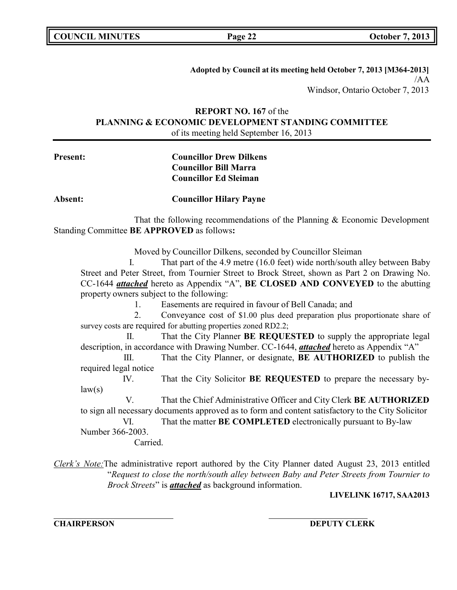| <b>COUNCIL MINUTES</b> |  |
|------------------------|--|
|------------------------|--|

**Adopted by Council at its meeting held October 7, 2013 [M364-2013]** /AA Windsor, Ontario October 7, 2013

## **REPORT NO. 167** of the **PLANNING & ECONOMIC DEVELOPMENT STANDING COMMITTEE** of its meeting held September 16, 2013

**Present: Councillor Drew Dilkens Councillor Bill Marra Councillor Ed Sleiman**

**Absent: Councillor Hilary Payne**

That the following recommendations of the Planning & Economic Development Standing Committee **BE APPROVED** as follows**:**

Moved by Councillor Dilkens, seconded by Councillor Sleiman

I. That part of the 4.9 metre (16.0 feet) wide north/south alley between Baby Street and Peter Street, from Tournier Street to Brock Street, shown as Part 2 on Drawing No. CC-1644 *attached* hereto as Appendix "A", **BE CLOSED AND CONVEYED** to the abutting property owners subject to the following:

1. Easements are required in favour of Bell Canada; and

2. Conveyance cost of \$1.00 plus deed preparation plus proportionate share of survey costs are required for abutting properties zoned RD2.2;

II. That the City Planner **BE REQUESTED** to supply the appropriate legal description, in accordance with Drawing Number. CC-1644, *attached* hereto as Appendix "A"

III. That the City Planner, or designate, **BE AUTHORIZED** to publish the required legal notice

IV. That the City Solicitor **BE REQUESTED** to prepare the necessary by $law(s)$ 

V. That the Chief Administrative Officer and City Clerk **BE AUTHORIZED** to sign all necessary documents approved as to form and content satisfactory to the City Solicitor

VI. That the matter **BE COMPLETED** electronically pursuant to By-law Number 366-2003.

Carried.

*Clerk's Note:*The administrative report authored by the City Planner dated August 23, 2013 entitled "*Request to close the north/south alley between Baby and Peter Streets from Tournier to Brock Streets*" is *attached* as background information.

**LIVELINK 16717, SAA2013**

**CHAIRPERSON DEPUTY CLERK**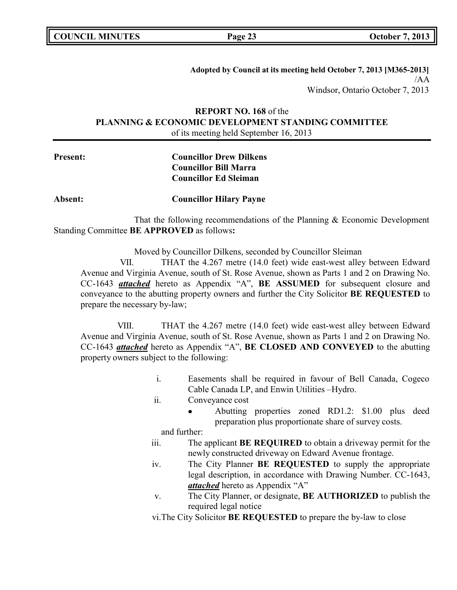| <b>COUNCIL MINUTES</b> |  |  |
|------------------------|--|--|
|------------------------|--|--|

**Adopted by Council at its meeting held October 7, 2013 [M365-2013]** /AA Windsor, Ontario October 7, 2013

## **REPORT NO. 168** of the **PLANNING & ECONOMIC DEVELOPMENT STANDING COMMITTEE** of its meeting held September 16, 2013

# **Present: Councillor Drew Dilkens Councillor Bill Marra Councillor Ed Sleiman**

### **Absent: Councillor Hilary Payne**

That the following recommendations of the Planning & Economic Development Standing Committee **BE APPROVED** as follows**:**

Moved by Councillor Dilkens, seconded by Councillor Sleiman

VII. THAT the 4.267 metre (14.0 feet) wide east-west alley between Edward Avenue and Virginia Avenue, south of St. Rose Avenue, shown as Parts 1 and 2 on Drawing No. CC-1643 *attached* hereto as Appendix "A", **BE ASSUMED** for subsequent closure and conveyance to the abutting property owners and further the City Solicitor **BE REQUESTED** to prepare the necessary by-law;

VIII. THAT the 4.267 metre (14.0 feet) wide east-west alley between Edward Avenue and Virginia Avenue, south of St. Rose Avenue, shown as Parts 1 and 2 on Drawing No. CC-1643 *attached* hereto as Appendix "A", **BE CLOSED AND CONVEYED** to the abutting property owners subject to the following:

- i. Easements shall be required in favour of Bell Canada, Cogeco Cable Canada LP, and Enwin Utilities –Hydro.
- ii. Conveyance cost
	- Abutting properties zoned RD1.2: \$1.00 plus deed preparation plus proportionate share of survey costs.

and further:

- iii. The applicant **BE REQUIRED** to obtain a driveway permit for the newly constructed driveway on Edward Avenue frontage.
- iv. The City Planner **BE REQUESTED** to supply the appropriate legal description, in accordance with Drawing Number. CC-1643, *attached* hereto as Appendix "A"
- v. The City Planner, or designate, **BE AUTHORIZED** to publish the required legal notice

vi.The City Solicitor **BE REQUESTED** to prepare the by-law to close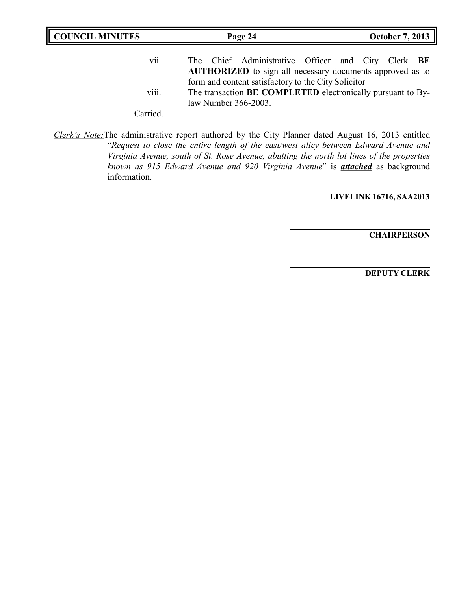| <b>COUNCIL MINUTES</b><br>Page 24 |                                                                                                                                            | <b>October 7, 2013</b> |
|-----------------------------------|--------------------------------------------------------------------------------------------------------------------------------------------|------------------------|
| vii.                              | The Chief Administrative Officer and City Clerk BE<br><b>AUTHORIZED</b> to sign all necessary documents approved as to                     |                        |
| $\cdots$<br>V111.                 | form and content satisfactory to the City Solicitor<br>The transaction BE COMPLETED electronically pursuant to By-<br>law Number 366-2003. |                        |
| Carried                           |                                                                                                                                            |                        |

*Clerk's Note:*The administrative report authored by the City Planner dated August 16, 2013 entitled "*Request to close the entire length of the east/west alley between Edward Avenue and Virginia Avenue, south of St. Rose Avenue, abutting the north lot lines of the properties known as 915 Edward Avenue and 920 Virginia Avenue*" is *attached* as background information.

**LIVELINK 16716, SAA2013**

**CHAIRPERSON**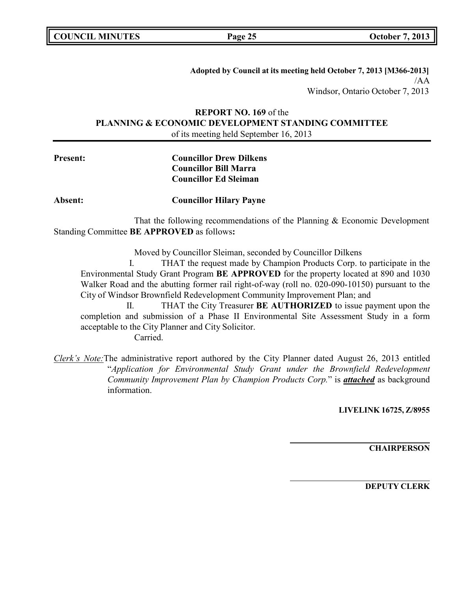**COUNCIL MINUTES Page 25 October 7, 2013**

**Adopted by Council at its meeting held October 7, 2013 [M366-2013]** /AA Windsor, Ontario October 7, 2013

**REPORT NO. 169** of the **PLANNING & ECONOMIC DEVELOPMENT STANDING COMMITTEE** of its meeting held September 16, 2013

# **Present: Councillor Drew Dilkens Councillor Bill Marra Councillor Ed Sleiman**

**Absent: Councillor Hilary Payne**

That the following recommendations of the Planning & Economic Development Standing Committee **BE APPROVED** as follows**:**

Moved by Councillor Sleiman, seconded by Councillor Dilkens

I. THAT the request made by Champion Products Corp. to participate in the Environmental Study Grant Program **BE APPROVED** for the property located at 890 and 1030 Walker Road and the abutting former rail right-of-way (roll no. 020-090-10150) pursuant to the City of Windsor Brownfield Redevelopment Community Improvement Plan; and

II. THAT the City Treasurer **BE AUTHORIZED** to issue payment upon the completion and submission of a Phase II Environmental Site Assessment Study in a form acceptable to the City Planner and City Solicitor.

Carried.

*Clerk's Note:*The administrative report authored by the City Planner dated August 26, 2013 entitled "*Application for Environmental Study Grant under the Brownfield Redevelopment Community Improvement Plan by Champion Products Corp.*" is *attached* as background information.

**LIVELINK 16725, Z/8955**

**CHAIRPERSON**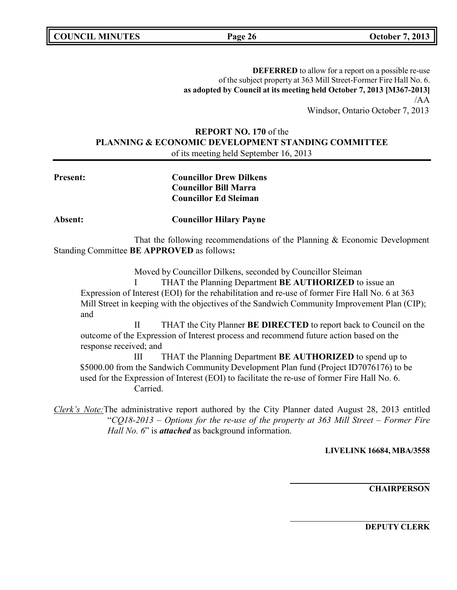**COUNCIL MINUTES Page 26 October 7, 2013**

**DEFERRED** to allow for a report on a possible re-use of the subject property at 363 Mill Street-Former Fire Hall No. 6. **as adopted by Council at its meeting held October 7, 2013 [M367-2013]** /AA Windsor, Ontario October 7, 2013

## **REPORT NO. 170** of the **PLANNING & ECONOMIC DEVELOPMENT STANDING COMMITTEE** of its meeting held September 16, 2013

| <b>Present:</b>        |               | <b>Councillor Drew Dilkens</b><br><b>Councillor Bill Marra</b><br><b>Councillor Ed Sleiman</b>                                                                                                                                                                                                                           |
|------------------------|---------------|--------------------------------------------------------------------------------------------------------------------------------------------------------------------------------------------------------------------------------------------------------------------------------------------------------------------------|
| <b>Absent:</b>         |               | <b>Councillor Hilary Payne</b>                                                                                                                                                                                                                                                                                           |
|                        |               | That the following recommendations of the Planning & Economic Development<br>Standing Committee BE APPROVED as follows:                                                                                                                                                                                                  |
| and                    |               | Moved by Councillor Dilkens, seconded by Councillor Sleiman<br>THAT the Planning Department BE AUTHORIZED to issue an<br>Expression of Interest (EOI) for the rehabilitation and re-use of former Fire Hall No. 6 at 363<br>Mill Street in keeping with the objectives of the Sandwich Community Improvement Plan (CIP); |
| response received; and | $\rm II$      | THAT the City Planner <b>BE DIRECTED</b> to report back to Council on the<br>outcome of the Expression of Interest process and recommend future action based on the                                                                                                                                                      |
|                        | Ш<br>Carried. | THAT the Planning Department <b>BE AUTHORIZED</b> to spend up to<br>\$5000.00 from the Sandwich Community Development Plan fund (Project ID7076176) to be<br>used for the Expression of Interest (EOI) to facilitate the re-use of former Fire Hall No. 6.                                                               |

*Clerk's Note:*The administrative report authored by the City Planner dated August 28, 2013 entitled "*CQ18-2013 – Options for the re-use of the property at 363 Mill Street – Former Fire Hall No. 6*" is *attached* as background information.

**LIVELINK 16684, MBA/3558**

**CHAIRPERSON**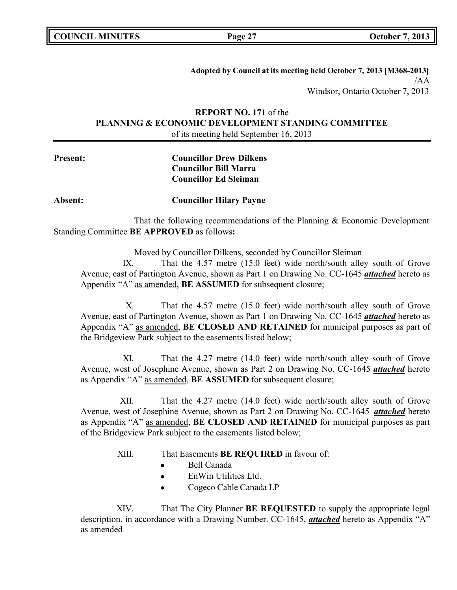| <b>COUNCIL MINUTES</b> |  |
|------------------------|--|
|------------------------|--|

**Adopted by Council at its meeting held October 7, 2013 [M368-2013]** /AA Windsor, Ontario October 7, 2013

## **REPORT NO. 171** of the **PLANNING & ECONOMIC DEVELOPMENT STANDING COMMITTEE** of its meeting held September 16, 2013

# **Present: Councillor Drew Dilkens Councillor Bill Marra Councillor Ed Sleiman**

**Absent: Councillor Hilary Payne**

That the following recommendations of the Planning & Economic Development Standing Committee **BE APPROVED** as follows**:**

Moved by Councillor Dilkens, seconded by Councillor Sleiman

IX. That the 4.57 metre (15.0 feet) wide north/south alley south of Grove Avenue, east of Partington Avenue, shown as Part 1 on Drawing No. CC-1645 *attached* hereto as Appendix "A" as amended, **BE ASSUMED** for subsequent closure;

X. That the 4.57 metre (15.0 feet) wide north/south alley south of Grove Avenue, east of Partington Avenue, shown as Part 1 on Drawing No. CC-1645 *attached* hereto as Appendix "A" as amended, **BE CLOSED AND RETAINED** for municipal purposes as part of the Bridgeview Park subject to the easements listed below;

XI. That the 4.27 metre (14.0 feet) wide north/south alley south of Grove Avenue, west of Josephine Avenue, shown as Part 2 on Drawing No. CC-1645 *attached* hereto as Appendix "A" as amended, **BE ASSUMED** for subsequent closure;

XII. That the 4.27 metre (14.0 feet) wide north/south alley south of Grove Avenue, west of Josephine Avenue, shown as Part 2 on Drawing No. CC-1645 *attached* hereto as Appendix "A" as amended, **BE CLOSED AND RETAINED** for municipal purposes as part of the Bridgeview Park subject to the easements listed below;

XIII. That Easements **BE REQUIRED** in favour of:

- Bell Canada
- EnWin Utilities Ltd.  $\bullet$
- Cogeco Cable Canada LP

XIV. That The City Planner **BE REQUESTED** to supply the appropriate legal description, in accordance with a Drawing Number. CC-1645, *attached* hereto as Appendix "A" as amended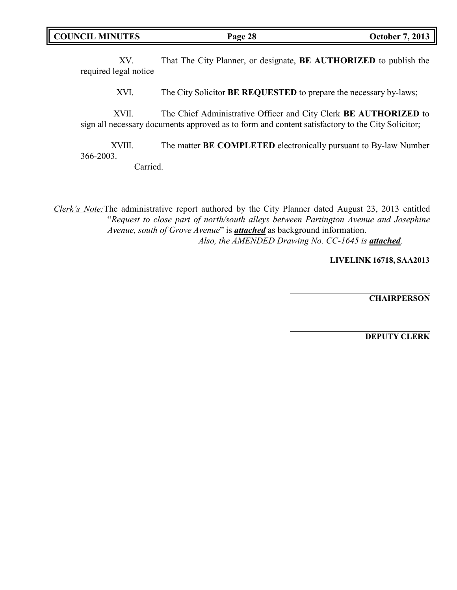XV. That The City Planner, or designate, **BE AUTHORIZED** to publish the required legal notice

XVI. The City Solicitor **BE REQUESTED** to prepare the necessary by-laws;

XVII. The Chief Administrative Officer and City Clerk **BE AUTHORIZED** to sign all necessary documents approved as to form and content satisfactory to the City Solicitor;

XVIII. The matter **BE COMPLETED** electronically pursuant to By-law Number 366-2003.

Carried.

*Clerk's Note:*The administrative report authored by the City Planner dated August 23, 2013 entitled "*Request to close part of north/south alleys between Partington Avenue and Josephine Avenue, south of Grove Avenue*" is *attached* as background information. *Also, the AMENDED Drawing No. CC-1645 is attached.*

**LIVELINK 16718, SAA2013**

**CHAIRPERSON**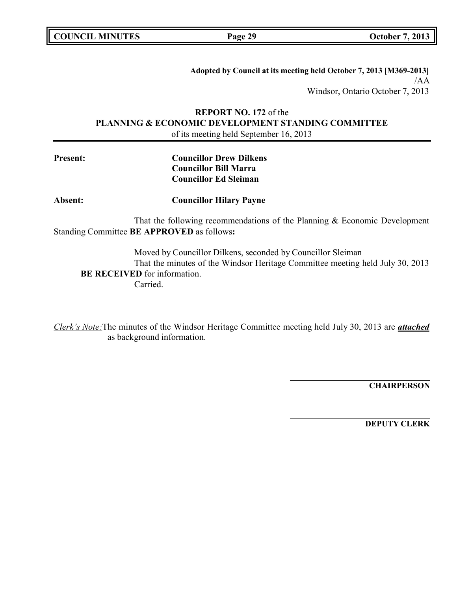**COUNCIL MINUTES Page 29 October 7, 2013**

**Adopted by Council at its meeting held October 7, 2013 [M369-2013]** /AA Windsor, Ontario October 7, 2013

## **REPORT NO. 172** of the **PLANNING & ECONOMIC DEVELOPMENT STANDING COMMITTEE** of its meeting held September 16, 2013

| <b>Councillor Drew Dilkens</b> |
|--------------------------------|
| <b>Councillor Bill Marra</b>   |
| <b>Councillor Ed Sleiman</b>   |
|                                |

**Absent: Councillor Hilary Payne**

That the following recommendations of the Planning & Economic Development Standing Committee **BE APPROVED** as follows**:**

Moved by Councillor Dilkens, seconded by Councillor Sleiman That the minutes of the Windsor Heritage Committee meeting held July 30, 2013 **BE RECEIVED** for information. Carried.

*Clerk's Note:*The minutes of the Windsor Heritage Committee meeting held July 30, 2013 are *attached* as background information.

**CHAIRPERSON**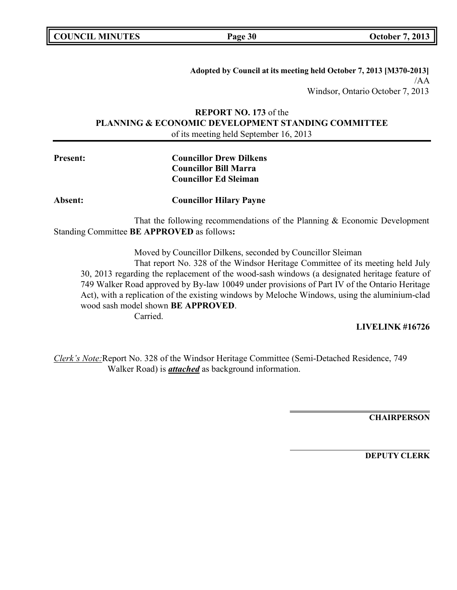**COUNCIL MINUTES Page 30 October 7, 2013**

**Adopted by Council at its meeting held October 7, 2013 [M370-2013]** /AA Windsor, Ontario October 7, 2013

**REPORT NO. 173** of the **PLANNING & ECONOMIC DEVELOPMENT STANDING COMMITTEE** of its meeting held September 16, 2013

# **Present: Councillor Drew Dilkens Councillor Bill Marra Councillor Ed Sleiman**

**Absent: Councillor Hilary Payne**

That the following recommendations of the Planning & Economic Development Standing Committee **BE APPROVED** as follows**:**

Moved by Councillor Dilkens, seconded by Councillor Sleiman

That report No. 328 of the Windsor Heritage Committee of its meeting held July 30, 2013 regarding the replacement of the wood-sash windows (a designated heritage feature of 749 Walker Road approved by By-law 10049 under provisions of Part IV of the Ontario Heritage Act), with a replication of the existing windows by Meloche Windows, using the aluminium-clad wood sash model shown **BE APPROVED**.

Carried.

## **LIVELINK #16726**

*Clerk's Note:*Report No. 328 of the Windsor Heritage Committee (Semi-Detached Residence, 749 Walker Road) is *attached* as background information.

**CHAIRPERSON**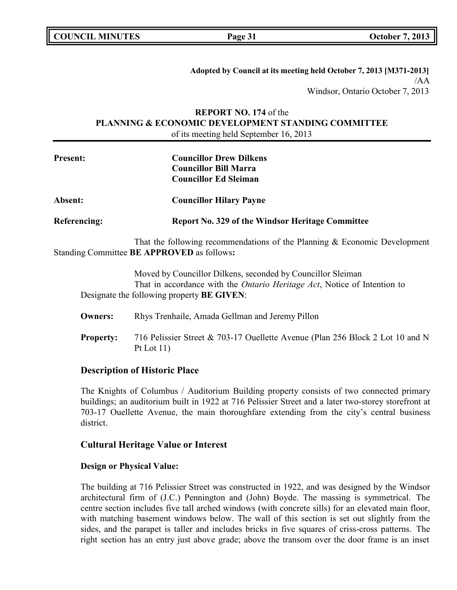|  | <b>COUNCIL MINUTES</b> |
|--|------------------------|
|--|------------------------|

**Page 31 October 7, 2013** 

**Adopted by Council at its meeting held October 7, 2013 [M371-2013]** /AA Windsor, Ontario October 7, 2013

## **REPORT NO. 174** of the **PLANNING & ECONOMIC DEVELOPMENT STANDING COMMITTEE** of its meeting held September 16, 2013

| <b>Present:</b>     | <b>Councillor Drew Dilkens</b><br><b>Councillor Bill Marra</b>            |
|---------------------|---------------------------------------------------------------------------|
|                     | <b>Councillor Ed Sleiman</b>                                              |
| <b>Absent:</b>      | <b>Councillor Hilary Payne</b>                                            |
| <b>Referencing:</b> | <b>Report No. 329 of the Windsor Heritage Committee</b>                   |
|                     | That the following recommendations of the Planning & Economic Development |
|                     | Standing Committee BE APPROVED as follows:                                |

Moved by Councillor Dilkens, seconded by Councillor Sleiman That in accordance with the *Ontario Heritage Act*, Notice of Intention to Designate the following property **BE GIVEN**:

- **Owners:** Rhys Trenhaile, Amada Gellman and Jeremy Pillon
- **Property:** 716 Pelissier Street & 703-17 Ouellette Avenue (Plan 256 Block 2 Lot 10 and N Pt Lot 11)

## **Description of Historic Place**

The Knights of Columbus / Auditorium Building property consists of two connected primary buildings; an auditorium built in 1922 at 716 Pelissier Street and a later two-storey storefront at 703-17 Ouellette Avenue, the main thoroughfare extending from the city's central business district.

## **Cultural Heritage Value or Interest**

## **Design or Physical Value:**

The building at 716 Pelissier Street was constructed in 1922, and was designed by the Windsor architectural firm of (J.C.) Pennington and (John) Boyde. The massing is symmetrical. The centre section includes five tall arched windows (with concrete sills) for an elevated main floor, with matching basement windows below. The wall of this section is set out slightly from the sides, and the parapet is taller and includes bricks in five squares of criss-cross patterns. The right section has an entry just above grade; above the transom over the door frame is an inset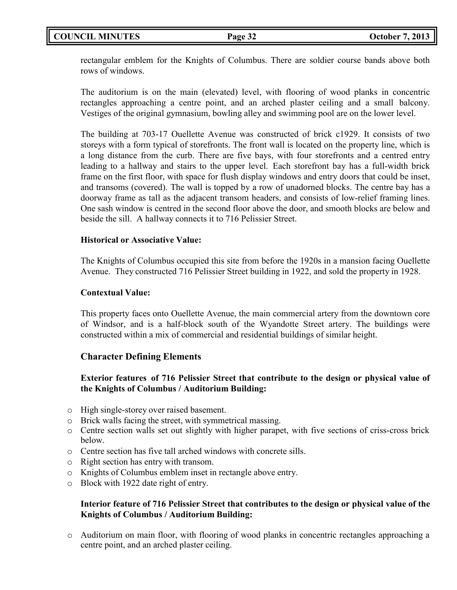# **COUNCIL MINUTES Page 32 October 7, 2013**

rectangular emblem for the Knights of Columbus. There are soldier course bands above both rows of windows.

The auditorium is on the main (elevated) level, with flooring of wood planks in concentric rectangles approaching a centre point, and an arched plaster ceiling and a small balcony. Vestiges of the original gymnasium, bowling alley and swimming pool are on the lower level.

The building at 703-17 Ouellette Avenue was constructed of brick c1929. It consists of two storeys with a form typical of storefronts. The front wall is located on the property line, which is a long distance from the curb. There are five bays, with four storefronts and a centred entry leading to a hallway and stairs to the upper level. Each storefront bay has a full-width brick frame on the first floor, with space for flush display windows and entry doors that could be inset, and transoms (covered). The wall is topped by a row of unadorned blocks. The centre bay has a doorway frame as tall as the adjacent transom headers, and consists of low-relief framing lines. One sash window is centred in the second floor above the door, and smooth blocks are below and beside the sill. A hallway connects it to 716 Pelissier Street.

## **Historical or Associative Value:**

The Knights of Columbus occupied this site from before the 1920s in a mansion facing Ouellette Avenue. They constructed 716 Pelissier Street building in 1922, and sold the property in 1928.

## **Contextual Value:**

This property faces onto Ouellette Avenue, the main commercial artery from the downtown core of Windsor, and is a half-block south of the Wyandotte Street artery. The buildings were constructed within a mix of commercial and residential buildings of similar height.

## **Character Defining Elements**

## **Exterior features of 716 Pelissier Street that contribute to the design or physical value of the Knights of Columbus / Auditorium Building:**

- o High single-storey over raised basement.
- o Brick walls facing the street, with symmetrical massing.
- o Centre section walls set out slightly with higher parapet, with five sections of criss-cross brick below.
- o Centre section has five tall arched windows with concrete sills.
- o Right section has entry with transom.
- o Knights of Columbus emblem inset in rectangle above entry.
- o Block with 1922 date right of entry.

## **Interior feature of 716 Pelissier Street that contributes to the design or physical value of the Knights of Columbus / Auditorium Building:**

o Auditorium on main floor, with flooring of wood planks in concentric rectangles approaching a centre point, and an arched plaster ceiling.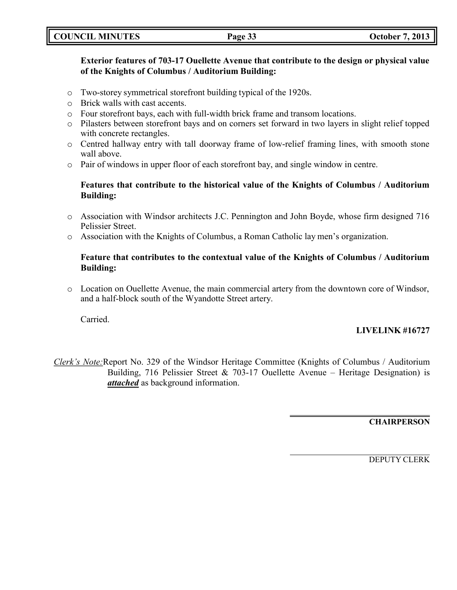| <b>October 7, 2013</b><br><b>COUNCIL MINUTES</b><br>Page 33 |
|-------------------------------------------------------------|
|-------------------------------------------------------------|

## **Exterior features of 703-17 Ouellette Avenue that contribute to the design or physical value of the Knights of Columbus / Auditorium Building:**

- o Two-storey symmetrical storefront building typical of the 1920s.
- o Brick walls with cast accents.
- o Four storefront bays, each with full-width brick frame and transom locations.
- o Pilasters between storefront bays and on corners set forward in two layers in slight relief topped with concrete rectangles.
- o Centred hallway entry with tall doorway frame of low-relief framing lines, with smooth stone wall above.
- o Pair of windows in upper floor of each storefront bay, and single window in centre.

## **Features that contribute to the historical value of the Knights of Columbus / Auditorium Building:**

- o Association with Windsor architects J.C. Pennington and John Boyde, whose firm designed 716 Pelissier Street.
- o Association with the Knights of Columbus, a Roman Catholic lay men's organization.

## **Feature that contributes to the contextual value of the Knights of Columbus / Auditorium Building:**

o Location on Ouellette Avenue, the main commercial artery from the downtown core of Windsor, and a half-block south of the Wyandotte Street artery.

Carried.

## **LIVELINK #16727**

*Clerk's Note:*Report No. 329 of the Windsor Heritage Committee (Knights of Columbus / Auditorium Building, 716 Pelissier Street & 703-17 Ouellette Avenue – Heritage Designation) is *attached* as background information.

**CHAIRPERSON**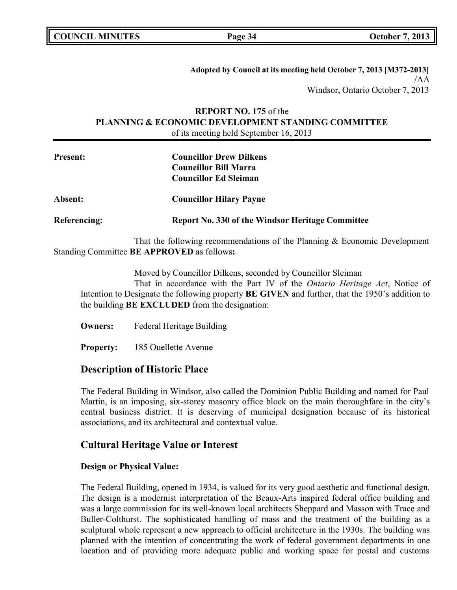**COUNCIL MINUTES Page 34 October 7, 2013**

**Adopted by Council at its meeting held October 7, 2013 [M372-2013]** /AA Windsor, Ontario October 7, 2013

## **REPORT NO. 175** of the **PLANNING & ECONOMIC DEVELOPMENT STANDING COMMITTEE** of its meeting held September 16, 2013

| <b>Present:</b> | <b>Councillor Drew Dilkens</b>                          |
|-----------------|---------------------------------------------------------|
|                 | <b>Councillor Bill Marra</b>                            |
|                 | <b>Councillor Ed Sleiman</b>                            |
| <b>Absent:</b>  | <b>Councillor Hilary Payne</b>                          |
| Referencing:    | <b>Report No. 330 of the Windsor Heritage Committee</b> |

That the following recommendations of the Planning & Economic Development Standing Committee **BE APPROVED** as follows**:**

Moved by Councillor Dilkens, seconded by Councillor Sleiman

That in accordance with the Part IV of the *Ontario Heritage Act*, Notice of Intention to Designate the following property **BE GIVEN** and further, that the 1950's addition to the building **BE EXCLUDED** from the designation:

**Owners:** Federal Heritage Building

**Property:** 185 Ouellette Avenue

# **Description of Historic Place**

The Federal Building in Windsor, also called the Dominion Public Building and named for Paul Martin, is an imposing, six-storey masonry office block on the main thoroughfare in the city's central business district. It is deserving of municipal designation because of its historical associations, and its architectural and contextual value.

## **Cultural Heritage Value or Interest**

### **Design or Physical Value:**

The Federal Building, opened in 1934, is valued for its very good aesthetic and functional design. The design is a modernist interpretation of the Beaux-Arts inspired federal office building and was a large commission for its well-known local architects Sheppard and Masson with Trace and Buller-Colthurst. The sophisticated handling of mass and the treatment of the building as a sculptural whole represent a new approach to official architecture in the 1930s. The building was planned with the intention of concentrating the work of federal government departments in one location and of providing more adequate public and working space for postal and customs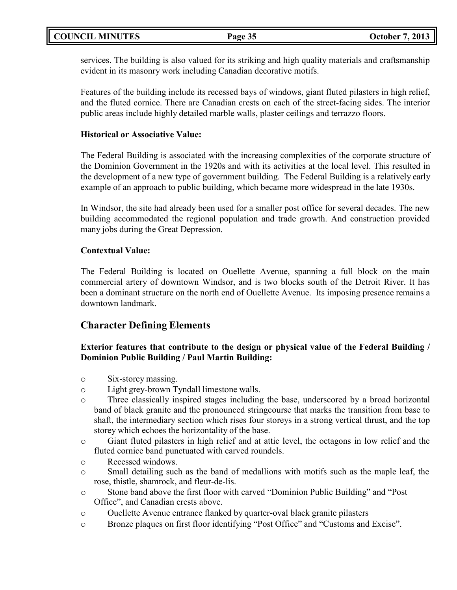services. The building is also valued for its striking and high quality materials and craftsmanship evident in its masonry work including Canadian decorative motifs.

Features of the building include its recessed bays of windows, giant fluted pilasters in high relief, and the fluted cornice. There are Canadian crests on each of the street-facing sides. The interior public areas include highly detailed marble walls, plaster ceilings and terrazzo floors.

## **Historical or Associative Value:**

The Federal Building is associated with the increasing complexities of the corporate structure of the Dominion Government in the 1920s and with its activities at the local level. This resulted in the development of a new type of government building. The Federal Building is a relatively early example of an approach to public building, which became more widespread in the late 1930s.

In Windsor, the site had already been used for a smaller post office for several decades. The new building accommodated the regional population and trade growth. And construction provided many jobs during the Great Depression.

## **Contextual Value:**

The Federal Building is located on Ouellette Avenue, spanning a full block on the main commercial artery of downtown Windsor, and is two blocks south of the Detroit River. It has been a dominant structure on the north end of Ouellette Avenue. Its imposing presence remains a downtown landmark.

# **Character Defining Elements**

# **Exterior features that contribute to the design or physical value of the Federal Building / Dominion Public Building / Paul Martin Building:**

- o Six-storey massing.
- o Light grey-brown Tyndall limestone walls.
- o Three classically inspired stages including the base, underscored by a broad horizontal band of black granite and the pronounced stringcourse that marks the transition from base to shaft, the intermediary section which rises four storeys in a strong vertical thrust, and the top storey which echoes the horizontality of the base.
- o Giant fluted pilasters in high relief and at attic level, the octagons in low relief and the fluted cornice band punctuated with carved roundels.
- o Recessed windows.
- o Small detailing such as the band of medallions with motifs such as the maple leaf, the rose, thistle, shamrock, and fleur-de-lis.
- o Stone band above the first floor with carved "Dominion Public Building" and "Post Office", and Canadian crests above.
- o Ouellette Avenue entrance flanked by quarter-oval black granite pilasters
- o Bronze plaques on first floor identifying "Post Office" and "Customs and Excise".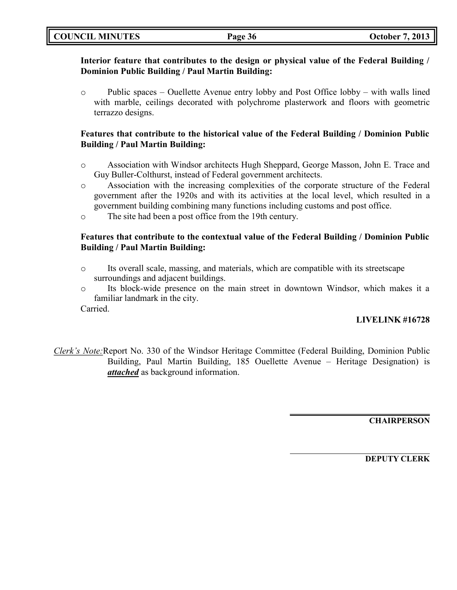|  | <b>COUNCIL MINUTES</b> |
|--|------------------------|
|--|------------------------|

## **Interior feature that contributes to the design or physical value of the Federal Building / Dominion Public Building / Paul Martin Building:**

 $\circ$  Public spaces – Ouellette Avenue entry lobby and Post Office lobby – with walls lined with marble, ceilings decorated with polychrome plasterwork and floors with geometric terrazzo designs.

## **Features that contribute to the historical value of the Federal Building / Dominion Public Building / Paul Martin Building:**

- o Association with Windsor architects Hugh Sheppard, George Masson, John E. Trace and Guy Buller-Colthurst, instead of Federal government architects.
- o Association with the increasing complexities of the corporate structure of the Federal government after the 1920s and with its activities at the local level, which resulted in a government building combining many functions including customs and post office.
- o The site had been a post office from the 19th century.

# **Features that contribute to the contextual value of the Federal Building / Dominion Public Building / Paul Martin Building:**

- $\circ$  Its overall scale, massing, and materials, which are compatible with its streetscape surroundings and adjacent buildings.
- o Its block-wide presence on the main street in downtown Windsor, which makes it a familiar landmark in the city.

Carried.

# **LIVELINK #16728**

*Clerk's Note:*Report No. 330 of the Windsor Heritage Committee (Federal Building, Dominion Public Building, Paul Martin Building, 185 Ouellette Avenue – Heritage Designation) is *attached* as background information.

**CHAIRPERSON**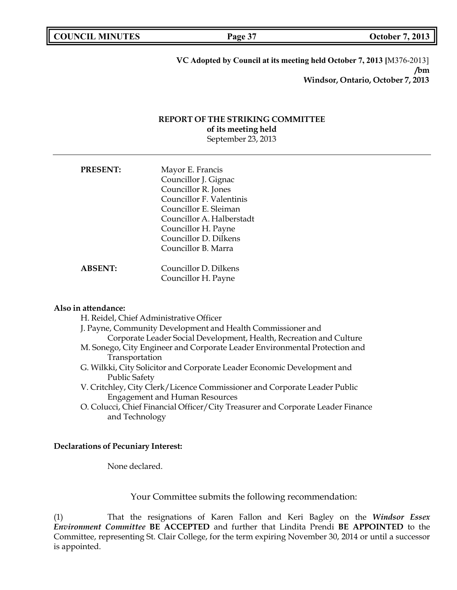**Page 37 October 7, 2013** 

**VC Adopted by Council at its meeting held October 7, 2013 [**M376-2013] **/bm Windsor, Ontario, October 7, 2013**

## **REPORT OF THE STRIKING COMMITTEE of its meeting held** September 23, 2013

| <b>PRESENT:</b> | Mayor E. Francis          |
|-----------------|---------------------------|
|                 | Councillor J. Gignac      |
|                 | Councillor R. Jones       |
|                 | Councillor F. Valentinis  |
|                 | Councillor E. Sleiman     |
|                 | Councillor A. Halberstadt |
|                 | Councillor H. Payne       |
|                 | Councillor D. Dilkens     |
|                 | Councillor B. Marra       |
|                 |                           |
| <b>ABSENT:</b>  | Councillor D. Dilkens     |
|                 | Councillor H. Payne       |

#### **Also in attendance:**

H. Reidel, Chief Administrative Officer J. Payne, Community Development and Health Commissioner and Corporate Leader Social Development, Health, Recreation and Culture M. Sonego, City Engineer and Corporate Leader Environmental Protection and Transportation G. Wilkki, City Solicitor and Corporate Leader Economic Development and Public Safety V. Critchley, City Clerk/Licence Commissioner and Corporate Leader Public Engagement and Human Resources

O. Colucci, Chief Financial Officer/City Treasurer and Corporate Leader Finance and Technology

#### **Declarations of Pecuniary Interest:**

None declared.

Your Committee submits the following recommendation:

(1) That the resignations of Karen Fallon and Keri Bagley on the *Windsor Essex Environment Committee* **BE ACCEPTED** and further that Lindita Prendi **BE APPOINTED** to the Committee, representing St. Clair College, for the term expiring November 30, 2014 or until a successor is appointed.